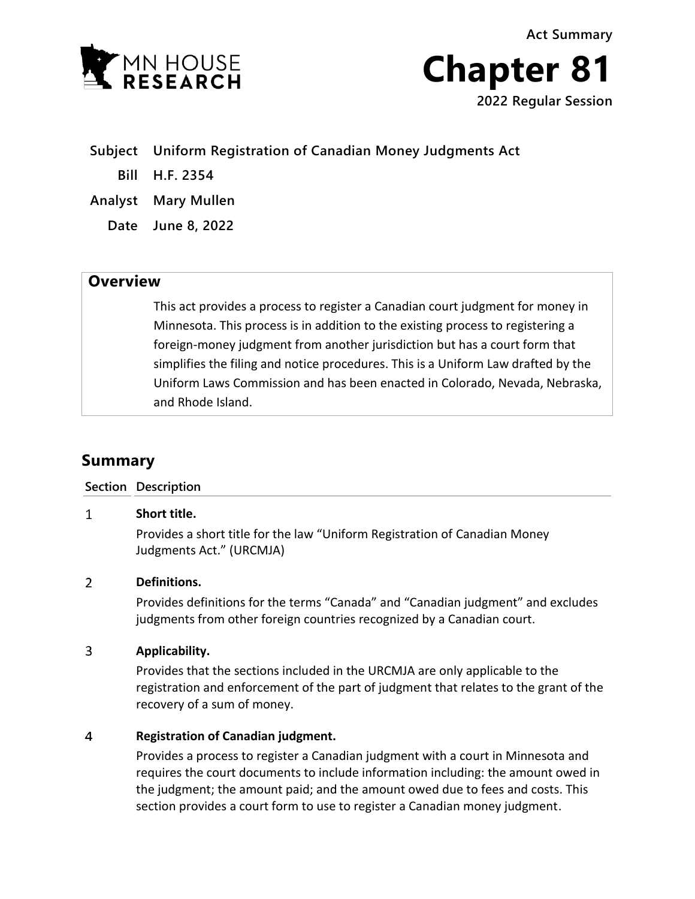

**Chapter 81 2022 Regular Session**

**Subject Uniform Registration of Canadian Money Judgments Act**

**Bill H.F. 2354**

**Analyst Mary Mullen**

**Date June 8, 2022**

## **Overview**

This act provides a process to register a Canadian court judgment for money in Minnesota. This process is in addition to the existing process to registering a foreign-money judgment from another jurisdiction but has a court form that simplifies the filing and notice procedures. This is a Uniform Law drafted by the Uniform Laws Commission and has been enacted in Colorado, Nevada, Nebraska, and Rhode Island.

# **Summary**

### **Section Description**

#### $\mathbf{1}$ **Short title.**

Provides a short title for the law "Uniform Registration of Canadian Money Judgments Act." (URCMJA)

#### $\overline{2}$ **Definitions.**

Provides definitions for the terms "Canada" and "Canadian judgment" and excludes judgments from other foreign countries recognized by a Canadian court.

#### $\overline{3}$ **Applicability.**

Provides that the sections included in the URCMJA are only applicable to the registration and enforcement of the part of judgment that relates to the grant of the recovery of a sum of money.

#### $\overline{4}$ **Registration of Canadian judgment.**

Provides a process to register a Canadian judgment with a court in Minnesota and requires the court documents to include information including: the amount owed in the judgment; the amount paid; and the amount owed due to fees and costs. This section provides a court form to use to register a Canadian money judgment.